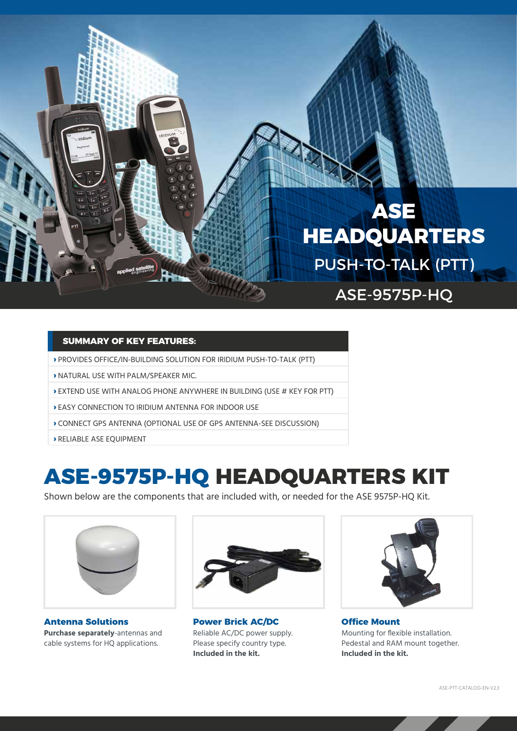# **ASE HEADQUARTERS**

PUSH-TO-TALK (PTT)

ASE-9575P-HQ

#### **SUMMARY OF KEY FEATURES:**

- **›** PROVIDES OFFICE/IN-BUILDING SOLUTION FOR IRIDIUM PUSH-TO-TALK (PTT)
- **›** NATURAL USE WITH PALM/SPEAKER MIC.
- **›** EXTEND USE WITH ANALOG PHONE ANYWHERE IN BUILDING (USE # KEY FOR PTT)
- **›** EASY CONNECTION TO IRIDIUM ANTENNA FOR INDOOR USE
- **›** CONNECT GPS ANTENNA (OPTIONAL USE OF GPS ANTENNA-SEE DISCUSSION)
- **›** RELIABLE ASE EQUIPMENT

## **ASE-9575P-HQ HEADQUARTERS KIT**

Shown below are the components that are included with, or needed for the ASE 9575P-HQ Kit.



**Antenna Solutions Purchase separately**-antennas and cable systems for HQ applications.



**Power Brick AC/DC**  Reliable AC/DC power supply. Please specify country type. **Included in the kit.** 



**Office Mount** Mounting for flexible installation. Pedestal and RAM mount together. **Included in the kit.**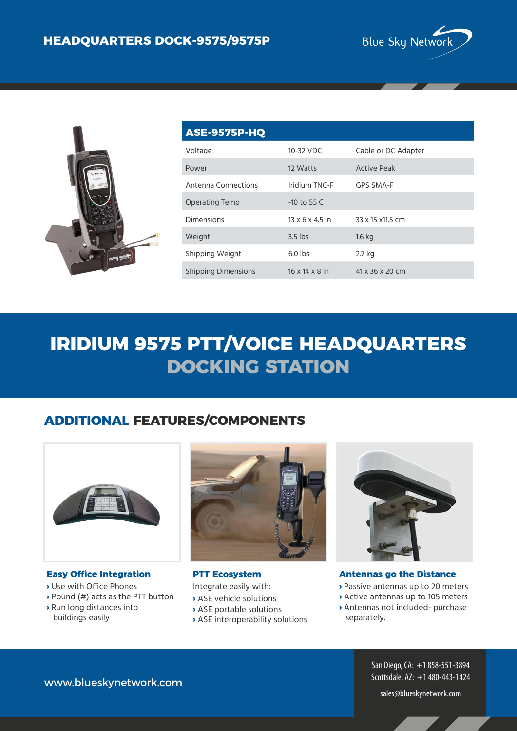



| <b>ASE-9575P-HQ</b>        |                             |                     |
|----------------------------|-----------------------------|---------------------|
| Voltage                    | 10-32 VDC                   | Cable or DC Adapter |
| Power                      | 12 Watts                    | <b>Active Peak</b>  |
| Antenna Connections        | Iridium TNC-F               | GPS SMA-F           |
| <b>Operating Temp</b>      | $-10$ to 55 C               |                     |
| <b>Dimensions</b>          | $13 \times 6 \times 4.5$ in | 33 x 15 x 11.5 cm   |
| Weight                     | $3.5$ lbs                   | $1.6$ kg            |
| Shipping Weight            | $6.0$ lbs                   | 2.7 kg              |
| <b>Shipping Dimensions</b> | $16 \times 14 \times 8$ in  | 41 x 36 x 20 cm     |

# **IRIDIUM 9575 PTT/VOICE HEADQUARTERS DOCKING STATION**

#### **ADDITIONAL FEATURES/COMPONENTS**



#### **Easy Office Integration**

- **›** Use with Office Phones
- **›** Pound (#) acts as the PTT button
- **›** Run long distances into buildings easily



**PTT Ecosystem** Integrate easily with:

**›** ASE vehicle solutions

- **›** ASE portable solutions
- **›** ASE interoperability solutions



**Antennas go the Distance**

- **›** Passive antennas up to 20 meters
- **›** Active antennas up to 105 meters
- **›** Antennas not included- purchase separately.

San Diego, CA: +1 858-551-3894 Scottsdale, AZ: +1 480-443-1424

www.blueskynetwork.com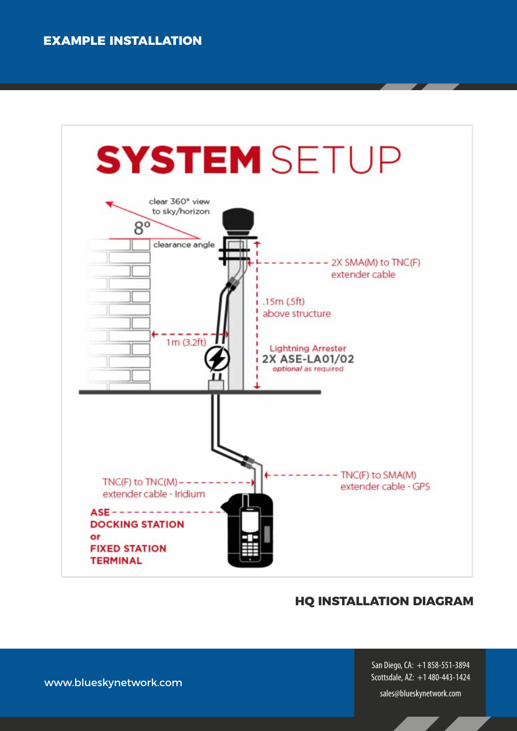

#### **HQ INSTALLATION DIAGRAM**

San Diego, CA: +1 858-551-3894 Scottsdale, AZ: +1 480-443-1424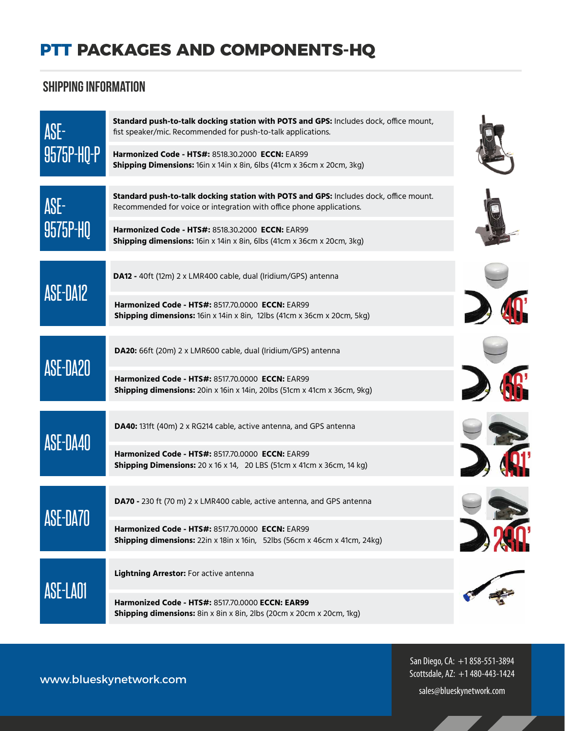## **PTT PACKAGES AND COMPONENTS-HQ**

### Shipping Information

| ASE-<br>9575P-HQ-P | Standard push-to-talk docking station with POTS and GPS: Includes dock, office mount,<br>fist speaker/mic. Recommended for push-to-talk applications.         |  |
|--------------------|---------------------------------------------------------------------------------------------------------------------------------------------------------------|--|
|                    | Harmonized Code - HTS#: 8518.30.2000 ECCN: EAR99<br>Shipping Dimensions: 16in x 14in x 8in, 6lbs (41cm x 36cm x 20cm, 3kg)                                    |  |
| ASE-<br>9575P-HQ   | Standard push-to-talk docking station with POTS and GPS: Includes dock, office mount.<br>Recommended for voice or integration with office phone applications. |  |
|                    | Harmonized Code - HTS#: 8518.30.2000 ECCN: EAR99<br><b>Shipping dimensions:</b> 16in x 14in x 8in, 6lbs (41cm x 36cm x 20cm, 3kg)                             |  |
|                    | DA12 - 40ft (12m) 2 x LMR400 cable, dual (Iridium/GPS) antenna                                                                                                |  |
| ASE-DA12           | <b>Harmonized Code - HTS#: 8517.70.0000 ECCN: EAR99</b><br>Shipping dimensions: 16in x 14in x 8in, 12lbs (41cm x 36cm x 20cm, 5kg)                            |  |
| ASE-DA20           | DA20: 66ft (20m) 2 x LMR600 cable, dual (Iridium/GPS) antenna                                                                                                 |  |
|                    | <b>Harmonized Code - HTS#: 8517.70.0000 ECCN: EAR99</b><br><b>Shipping dimensions:</b> 20in x 16in x 14in, 20lbs (51cm x 41cm x 36cm, 9kg)                    |  |
| ASE-DA40           | <b>DA40:</b> 131ft (40m) 2 x RG214 cable, active antenna, and GPS antenna                                                                                     |  |
|                    | Harmonized Code - HTS#: 8517.70.0000 ECCN: EAR99<br><b>Shipping Dimensions:</b> 20 x 16 x 14, 20 LBS (51cm x 41cm x 36cm, 14 kg)                              |  |
|                    | DA70 - 230 ft (70 m) 2 x LMR400 cable, active antenna, and GPS antenna                                                                                        |  |
|                    | Harmonized Code - HTS#: 8517.70.0000 ECCN: EAR99<br>Shipping dimensions: 22in x 18in x 16in, 52lbs (56cm x 46cm x 41cm, 24kg)                                 |  |
| ASE-LAO1           | Lightning Arrestor: For active antenna                                                                                                                        |  |
|                    | Harmonized Code - HTS#: 8517.70.0000 ECCN: EAR99<br><b>Shipping dimensions:</b> 8in x 8in x 8in, 2lbs (20cm x 20cm x 20cm, 1kg)                               |  |

San Diego, CA: +1 858-551-3894 Scottsdale, AZ: +1 480-443-1424

sales@blueskynetwork.com

www.blueskynetwork.com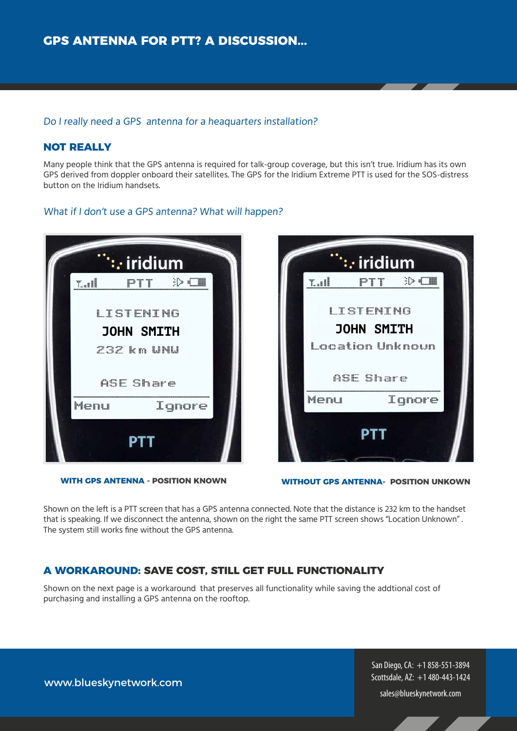#### Do I really need a GPS antenna for a heaquarters installation?

#### **NOT REALLY**

Many people think that the GPS antenna is required for talk-group coverage, but this isn't true. Iridium has its own GPS derived from doppler onboard their satellites. The GPS for the Iridium Extreme PTT is used for the SOS-distress button on the Iridium handsets.

#### What if I don't use a GPS antenna? What will happen?







**WITHOUT GPS ANTENNA- POSITION UNKOWN**

Shown on the left is a PTT screen that has a GPS antenna connected. Note that the distance is 232 km to the handset that is speaking. If we disconnect the antenna, shown on the right the same PTT screen shows "Location Unknown" . The system still works fine without the GPS antenna.

#### **A WORKAROUND: SAVE COST, STILL GET FULL FUNCTIONALITY**

Shown on the next page is a workaround that preserves all functionality while saving the addtional cost of purchasing and installing a GPS antenna on the rooftop.

> San Diego, CA: +1 858-551-3894 Scottsdale, AZ: +1 480-443-1424

sales@blueskynetwork.com

www.blueskynetwork.com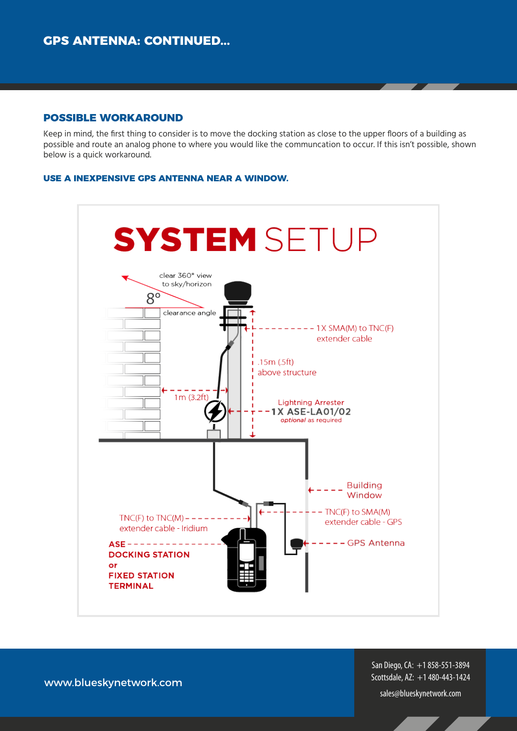#### **POSSIBLE WORKAROUND**

Keep in mind, the first thing to consider is to move the docking station as close to the upper floors of a building as possible and route an analog phone to where you would like the communcation to occur. If this isn't possible, shown below is a quick workaround.

#### **USE A INEXPENSIVE GPS ANTENNA NEAR A WINDOW.**



San Diego, CA: +1 858-551-3894 Scottsdale, AZ: +1 480-443-1424

www.blueskynetwork.com